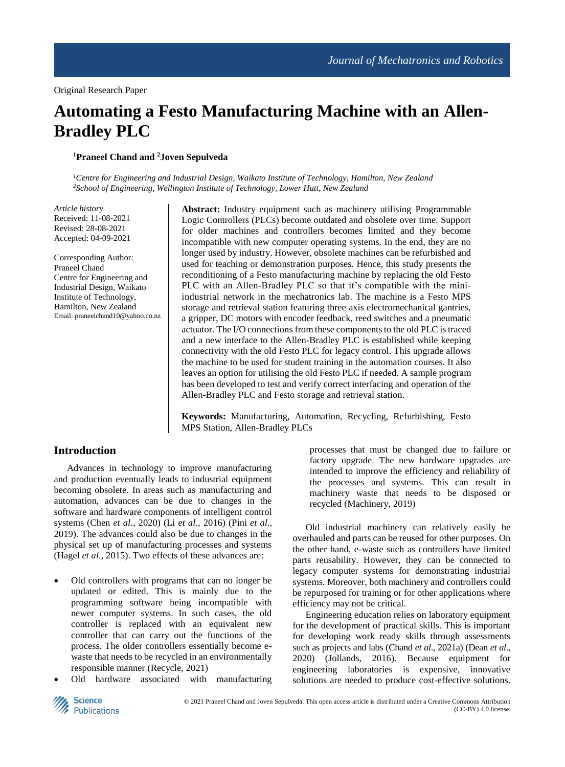# **Automating a Festo Manufacturing Machine with an Allen-Bradley PLC**

### **<sup>1</sup>Praneel Chand and <sup>2</sup>Joven Sepulveda**

*<sup>1</sup>Centre for Engineering and Industrial Design, Waikato Institute of Technology, Hamilton, New Zealand <sup>2</sup>School of Engineering, Wellington Institute of Technology, Lower Hutt, New Zealand*

*Article history* Received: 11-08-2021 Revised: 28-08-2021 Accepted: 04-09-2021

Corresponding Author: Praneel Chand Centre for Engineering and Industrial Design, Waikato Institute of Technology, Hamilton, New Zealand Email: praneelchand10@yahoo.co.nz **Abstract:** Industry equipment such as machinery utilising Programmable Logic Controllers (PLCs) become outdated and obsolete over time. Support for older machines and controllers becomes limited and they become incompatible with new computer operating systems. In the end, they are no longer used by industry. However, obsolete machines can be refurbished and used for teaching or demonstration purposes. Hence, this study presents the reconditioning of a Festo manufacturing machine by replacing the old Festo PLC with an Allen-Bradley PLC so that it's compatible with the miniindustrial network in the mechatronics lab. The machine is a Festo MPS storage and retrieval station featuring three axis electromechanical gantries, a gripper, DC motors with encoder feedback, reed switches and a pneumatic actuator. The I/O connections from these components to the old PLC is traced and a new interface to the Allen-Bradley PLC is established while keeping connectivity with the old Festo PLC for legacy control. This upgrade allows the machine to be used for student training in the automation courses. It also leaves an option for utilising the old Festo PLC if needed. A sample program has been developed to test and verify correct interfacing and operation of the Allen-Bradley PLC and Festo storage and retrieval station.

**Keywords:** Manufacturing, Automation, Recycling, Refurbishing, Festo MPS Station, Allen-Bradley PLCs

## **Introduction**

Advances in technology to improve manufacturing and production eventually leads to industrial equipment becoming obsolete. In areas such as manufacturing and automation, advances can be due to changes in the software and hardware components of intelligent control systems (Chen *et al*., 2020) (Li *et al*., 2016) (Pini *et al*., 2019). The advances could also be due to changes in the physical set up of manufacturing processes and systems (Hagel *et al*., 2015). Two effects of these advances are:

- Old controllers with programs that can no longer be updated or edited. This is mainly due to the programming software being incompatible with newer computer systems. In such cases, the old controller is replaced with an equivalent new controller that can carry out the functions of the process. The older controllers essentially become ewaste that needs to be recycled in an environmentally responsible manner (Recycle, 2021)
- Old hardware associated with manufacturing

processes that must be changed due to failure or factory upgrade. The new hardware upgrades are intended to improve the efficiency and reliability of the processes and systems. This can result in machinery waste that needs to be disposed or recycled (Machinery, 2019)

Old industrial machinery can relatively easily be overhauled and parts can be reused for other purposes. On the other hand, e-waste such as controllers have limited parts reusability. However, they can be connected to legacy computer systems for demonstrating industrial systems. Moreover, both machinery and controllers could be repurposed for training or for other applications where efficiency may not be critical.

Engineering education relies on laboratory equipment for the development of practical skills. This is important for developing work ready skills through assessments such as projects and labs (Chand *et al*., 2021a) (Dean *et al*., 2020) (Jollands, 2016). Because equipment for engineering laboratories is expensive, innovative solutions are needed to produce cost-effective solutions.

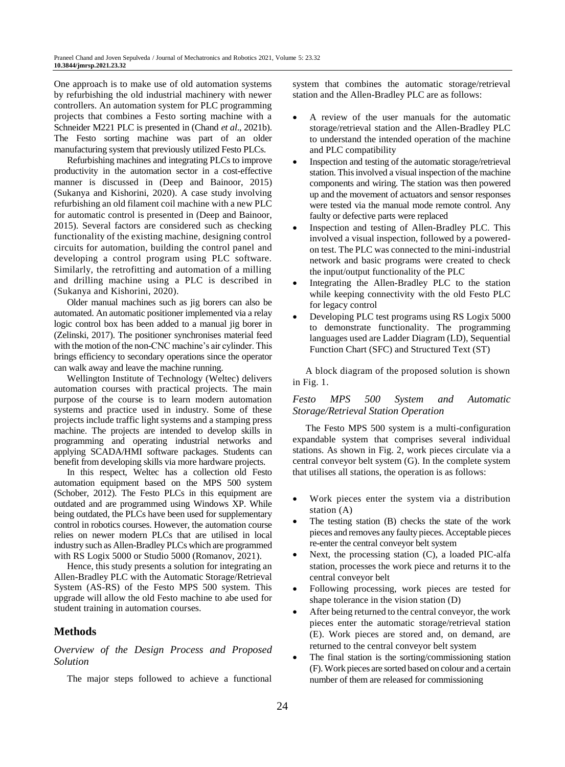One approach is to make use of old automation systems by refurbishing the old industrial machinery with newer controllers. An automation system for PLC programming projects that combines a Festo sorting machine with a Schneider M221 PLC is presented in (Chand *et al*., 2021b). The Festo sorting machine was part of an older manufacturing system that previously utilized Festo PLCs.

Refurbishing machines and integrating PLCs to improve productivity in the automation sector in a cost-effective manner is discussed in (Deep and Bainoor, 2015) (Sukanya and Kishorini, 2020). A case study involving refurbishing an old filament coil machine with a new PLC for automatic control is presented in (Deep and Bainoor, 2015). Several factors are considered such as checking functionality of the existing machine, designing control circuits for automation, building the control panel and developing a control program using PLC software. Similarly, the retrofitting and automation of a milling and drilling machine using a PLC is described in (Sukanya and Kishorini, 2020).

Older manual machines such as jig borers can also be automated. An automatic positioner implemented via a relay logic control box has been added to a manual jig borer in (Zelinski, 2017). The positioner synchronises material feed with the motion of the non-CNC machine's air cylinder. This brings efficiency to secondary operations since the operator can walk away and leave the machine running.

Wellington Institute of Technology (Weltec) delivers automation courses with practical projects. The main purpose of the course is to learn modern automation systems and practice used in industry. Some of these projects include traffic light systems and a stamping press machine. The projects are intended to develop skills in programming and operating industrial networks and applying SCADA/HMI software packages. Students can benefit from developing skills via more hardware projects.

In this respect, Weltec has a collection old Festo automation equipment based on the MPS 500 system (Schober, 2012). The Festo PLCs in this equipment are outdated and are programmed using Windows XP. While being outdated, the PLCs have been used for supplementary control in robotics courses. However, the automation course relies on newer modern PLCs that are utilised in local industry such as Allen-Bradley PLCs which are programmed with RS Logix 5000 or Studio 5000 (Romanov, 2021).

Hence, this study presents a solution for integrating an Allen-Bradley PLC with the Automatic Storage/Retrieval System (AS-RS) of the Festo MPS 500 system. This upgrade will allow the old Festo machine to abe used for student training in automation courses.

## **Methods**

### *Overview of the Design Process and Proposed Solution*

The major steps followed to achieve a functional

system that combines the automatic storage/retrieval station and the Allen-Bradley PLC are as follows:

- A review of the user manuals for the automatic storage/retrieval station and the Allen-Bradley PLC to understand the intended operation of the machine and PLC compatibility
- Inspection and testing of the automatic storage/retrieval station. This involved a visual inspection of the machine components and wiring. The station was then powered up and the movement of actuators and sensor responses were tested via the manual mode remote control. Any faulty or defective parts were replaced
- Inspection and testing of Allen-Bradley PLC. This involved a visual inspection, followed by a poweredon test. The PLC was connected to the mini-industrial network and basic programs were created to check the input/output functionality of the PLC
- Integrating the Allen-Bradley PLC to the station while keeping connectivity with the old Festo PLC for legacy control
- Developing PLC test programs using RS Logix 5000 to demonstrate functionality. The programming languages used are Ladder Diagram (LD), Sequential Function Chart (SFC) and Structured Text (ST)

A block diagram of the proposed solution is shown in Fig. 1.

#### *Festo MPS 500 System and Automatic Storage/Retrieval Station Operation*

The Festo MPS 500 system is a multi-configuration expandable system that comprises several individual stations. As shown in Fig. 2, work pieces circulate via a central conveyor belt system (G). In the complete system that utilises all stations, the operation is as follows:

- Work pieces enter the system via a distribution station (A)
- The testing station (B) checks the state of the work pieces and removes any faulty pieces. Acceptable pieces re-enter the central conveyor belt system
- Next, the processing station (C), a loaded PIC-alfa station, processes the work piece and returns it to the central conveyor belt
- Following processing, work pieces are tested for shape tolerance in the vision station (D)
- After being returned to the central conveyor, the work pieces enter the automatic storage/retrieval station (E). Work pieces are stored and, on demand, are returned to the central conveyor belt system
- The final station is the sorting/commissioning station (F). Work pieces are sorted based on colour and a certain number of them are released for commissioning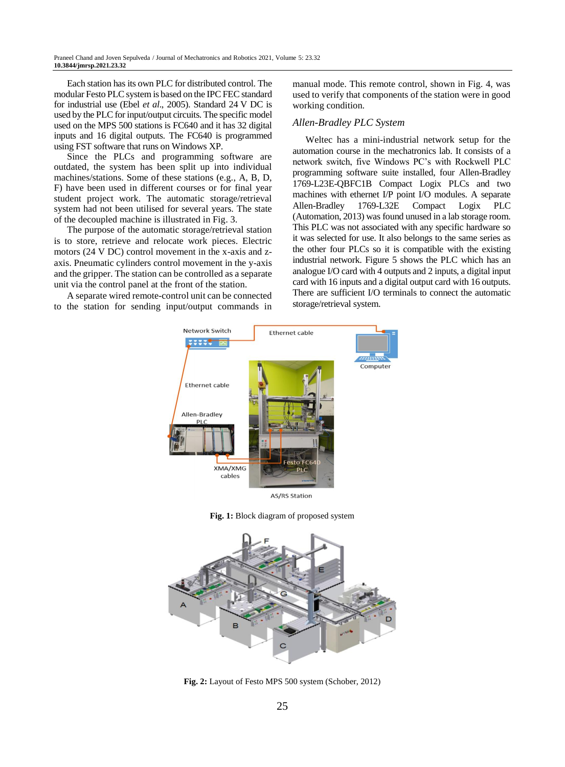Each station has its own PLC for distributed control. The modular Festo PLC system is based on the IPC FEC standard for industrial use (Ebel *et al*., 2005). Standard 24 V DC is used by the PLC for input/output circuits. The specific model used on the MPS 500 stations is FC640 and it has 32 digital inputs and 16 digital outputs. The FC640 is programmed using FST software that runs on Windows XP.

Since the PLCs and programming software are outdated, the system has been split up into individual machines/stations. Some of these stations (e.g., A, B, D, F) have been used in different courses or for final year student project work. The automatic storage/retrieval system had not been utilised for several years. The state of the decoupled machine is illustrated in Fig. 3.

The purpose of the automatic storage/retrieval station is to store, retrieve and relocate work pieces. Electric motors (24 V DC) control movement in the x-axis and zaxis. Pneumatic cylinders control movement in the y-axis and the gripper. The station can be controlled as a separate unit via the control panel at the front of the station.

A separate wired remote-control unit can be connected to the station for sending input/output commands in manual mode. This remote control, shown in Fig. 4, was used to verify that components of the station were in good working condition.

#### *Allen-Bradley PLC System*

Weltec has a mini-industrial network setup for the automation course in the mechatronics lab. It consists of a network switch, five Windows PC's with Rockwell PLC programming software suite installed, four Allen-Bradley 1769-L23E-QBFC1B Compact Logix PLCs and two machines with ethernet I/P point I/O modules. A separate Allen-Bradley 1769-L32E Compact Logix PLC (Automation, 2013) was found unused in a lab storage room. This PLC was not associated with any specific hardware so it was selected for use. It also belongs to the same series as the other four PLCs so it is compatible with the existing industrial network. Figure 5 shows the PLC which has an analogue I/O card with 4 outputs and 2 inputs, a digital input card with 16 inputs and a digital output card with 16 outputs. There are sufficient I/O terminals to connect the automatic storage/retrieval system.



**AS/RS Station** 

**Fig. 1:** Block diagram of proposed system



**Fig. 2:** Layout of Festo MPS 500 system (Schober, 2012)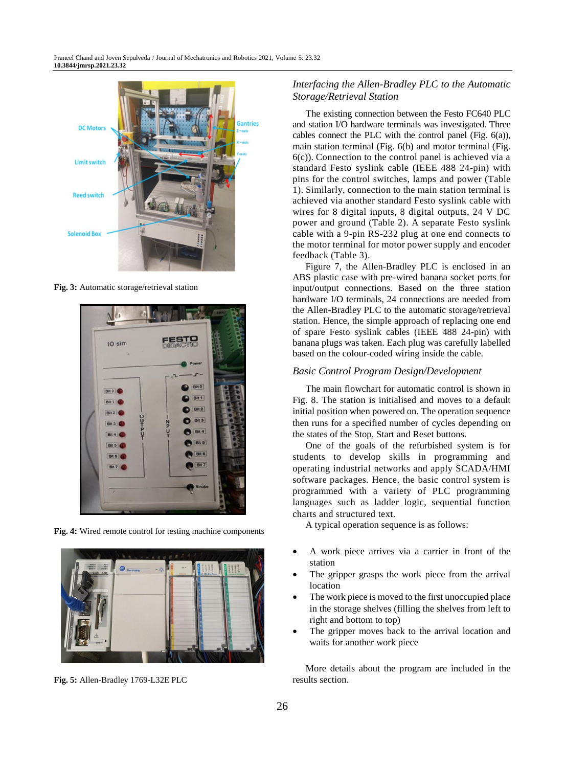

**Fig. 3:** Automatic storage/retrieval station



**Fig. 4:** Wired remote control for testing machine components



**Fig. 5:** Allen-Bradley 1769-L32E PLC

## *Interfacing the Allen-Bradley PLC to the Automatic Storage/Retrieval Station*

The existing connection between the Festo FC640 PLC and station I/O hardware terminals was investigated. Three cables connect the PLC with the control panel (Fig. 6(a)), main station terminal (Fig. 6(b) and motor terminal (Fig. 6(c)). Connection to the control panel is achieved via a standard Festo syslink cable (IEEE 488 24-pin) with pins for the control switches, lamps and power (Table 1). Similarly, connection to the main station terminal is achieved via another standard Festo syslink cable with wires for 8 digital inputs, 8 digital outputs, 24 V DC power and ground (Table 2). A separate Festo syslink cable with a 9-pin RS-232 plug at one end connects to the motor terminal for motor power supply and encoder feedback (Table 3).

Figure 7, the Allen-Bradley PLC is enclosed in an ABS plastic case with pre-wired banana socket ports for input/output connections. Based on the three station hardware I/O terminals, 24 connections are needed from the Allen-Bradley PLC to the automatic storage/retrieval station. Hence, the simple approach of replacing one end of spare Festo syslink cables (IEEE 488 24-pin) with banana plugs was taken. Each plug was carefully labelled based on the colour-coded wiring inside the cable.

### *Basic Control Program Design/Development*

The main flowchart for automatic control is shown in Fig. 8. The station is initialised and moves to a default initial position when powered on. The operation sequence then runs for a specified number of cycles depending on the states of the Stop, Start and Reset buttons.

One of the goals of the refurbished system is for students to develop skills in programming and operating industrial networks and apply SCADA/HMI software packages. Hence, the basic control system is programmed with a variety of PLC programming languages such as ladder logic, sequential function charts and structured text.

A typical operation sequence is as follows:

- A work piece arrives via a carrier in front of the station
- The gripper grasps the work piece from the arrival location
- The work piece is moved to the first unoccupied place in the storage shelves (filling the shelves from left to right and bottom to top)
- The gripper moves back to the arrival location and waits for another work piece

More details about the program are included in the results section.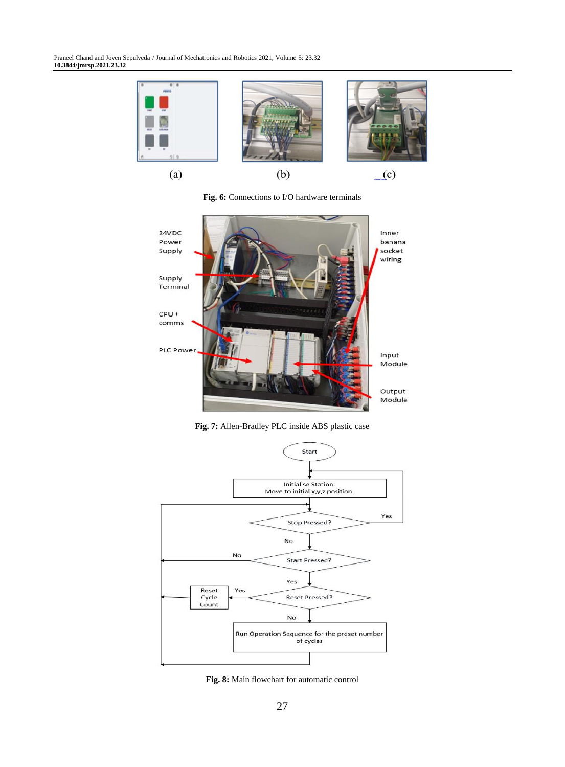Praneel Chand and Joven Sepulveda / Journal of Mechatronics and Robotics 2021, Volume 5: 23.32 **10.3844/jmrsp.2021.23.32**



**Fig. 6:** Connections to I/O hardware terminals



**Fig. 7:** Allen-Bradley PLC inside ABS plastic case



**Fig. 8:** Main flowchart for automatic control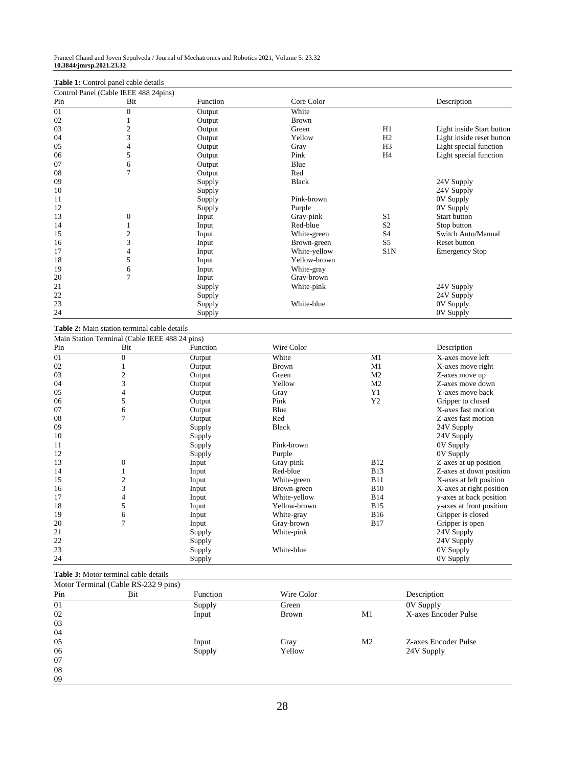Praneel Chand and Joven Sepulveda / Journal of Mechatronics and Robotics 2021, Volume 5: 23.32 **10.3844/jmrsp.2021.23.32**

## **Table 1:** Control panel cable details

|     | Control Panel (Cable IEEE 488 24pins) |          |              |                |                           |
|-----|---------------------------------------|----------|--------------|----------------|---------------------------|
| Pin | Bit                                   | Function | Core Color   |                | Description               |
| 01  | $\boldsymbol{0}$                      | Output   | White        |                |                           |
| 02  |                                       | Output   | <b>Brown</b> |                |                           |
| 03  | $\overline{\mathbf{c}}$               | Output   | Green        | H1             | Light inside Start button |
| 04  | 3                                     | Output   | Yellow       | H2             | Light inside reset button |
| 05  | 4                                     | Output   | Gray         | H <sub>3</sub> | Light special function    |
| 06  | 5                                     | Output   | Pink         | H4             | Light special function    |
| 07  | 6                                     | Output   | Blue         |                |                           |
| 08  | $\tau$                                | Output   | Red          |                |                           |
| 09  |                                       | Supply   | <b>Black</b> |                | 24V Supply                |
| 10  |                                       | Supply   |              |                | 24V Supply                |
| 11  |                                       | Supply   | Pink-brown   |                | 0V Supply                 |
| 12  |                                       | Supply   | Purple       |                | 0V Supply                 |
| 13  | $\boldsymbol{0}$                      | Input    | Gray-pink    | S <sub>1</sub> | <b>Start button</b>       |
| 14  |                                       | Input    | Red-blue     | S <sub>2</sub> | Stop button               |
| 15  | $\overline{c}$                        | Input    | White-green  | S <sub>4</sub> | Switch Auto/Manual        |
| 16  | 3                                     | Input    | Brown-green  | S5             | Reset button              |
| 17  | 4                                     | Input    | White-yellow | S1N            | <b>Emergency Stop</b>     |
| 18  | 5                                     | Input    | Yellow-brown |                |                           |
| 19  | 6                                     | Input    | White-gray   |                |                           |
| 20  | $\overline{7}$                        | Input    | Gray-brown   |                |                           |
| 21  |                                       | Supply   | White-pink   |                | 24V Supply                |
| 22  |                                       | Supply   |              |                | 24V Supply                |
| 23  |                                       | Supply   | White-blue   |                | 0V Supply                 |
| 24  |                                       | Supply   |              |                | 0V Supply                 |

#### **Table 2:** Main station terminal cable details

|     | Main Station Terminal (Cable IEEE 488 24 pins) |          |              |                |                          |
|-----|------------------------------------------------|----------|--------------|----------------|--------------------------|
| Pin | Bit                                            | Function | Wire Color   |                | Description              |
| 01  | $\Omega$                                       | Output   | White        | M1             | X-axes move left         |
| 02  |                                                | Output   | <b>Brown</b> | M1             | X-axes move right        |
| 03  |                                                | Output   | Green        | M <sub>2</sub> | Z-axes move up           |
| 04  | 3                                              | Output   | Yellow       | M <sub>2</sub> | Z-axes move down         |
| 05  |                                                | Output   | Gray         | Y <sub>1</sub> | Y-axes move back         |
| 06  | 5                                              | Output   | Pink         | Y2             | Gripper to closed        |
| 07  | 6                                              | Output   | Blue         |                | X-axes fast motion       |
| 08  |                                                | Output   | Red          |                | Z-axes fast motion       |
| 09  |                                                | Supply   | <b>Black</b> |                | 24V Supply               |
| 10  |                                                | Supply   |              |                | 24V Supply               |
| 11  |                                                | Supply   | Pink-brown   |                | 0V Supply                |
| 12  |                                                | Supply   | Purple       |                | 0V Supply                |
| 13  | $\Omega$                                       | Input    | Gray-pink    | <b>B12</b>     | Z-axes at up position    |
| 14  |                                                | Input    | Red-blue     | <b>B13</b>     | Z-axes at down position  |
| 15  |                                                | Input    | White-green  | <b>B11</b>     | X-axes at left position  |
| 16  | 3                                              | Input    | Brown-green  | <b>B10</b>     | X-axes at right position |
| 17  |                                                | Input    | White-yellow | <b>B14</b>     | y-axes at back position  |
| 18  | 5                                              | Input    | Yellow-brown | <b>B15</b>     | y-axes at front position |
| 19  | 6                                              | Input    | White-gray   | <b>B16</b>     | Gripper is closed        |
| 20  | 7                                              | Input    | Gray-brown   | <b>B17</b>     | Gripper is open          |
| 21  |                                                | Supply   | White-pink   |                | 24V Supply               |
| 22  |                                                | Supply   |              |                | 24V Supply               |
| 23  |                                                | Supply   | White-blue   |                | 0V Supply                |
| 24  |                                                | Supply   |              |                | 0V Supply                |

## **Table 3:** Motor terminal cable details

| Motor Terminal (Cable RS-232 9 pins) |     |          |              |                |                      |  |  |
|--------------------------------------|-----|----------|--------------|----------------|----------------------|--|--|
| Pin                                  | Bit | Function | Wire Color   |                | Description          |  |  |
| 01                                   |     | Supply   | Green        |                | 0V Supply            |  |  |
| 02                                   |     | Input    | <b>Brown</b> | M1             | X-axes Encoder Pulse |  |  |
| 03                                   |     |          |              |                |                      |  |  |
| 04                                   |     |          |              |                |                      |  |  |
| 05                                   |     | Input    | Gray         | M <sub>2</sub> | Z-axes Encoder Pulse |  |  |
| 06                                   |     | Supply   | Yellow       |                | 24V Supply           |  |  |
| 07                                   |     |          |              |                |                      |  |  |
| 08                                   |     |          |              |                |                      |  |  |
| 09                                   |     |          |              |                |                      |  |  |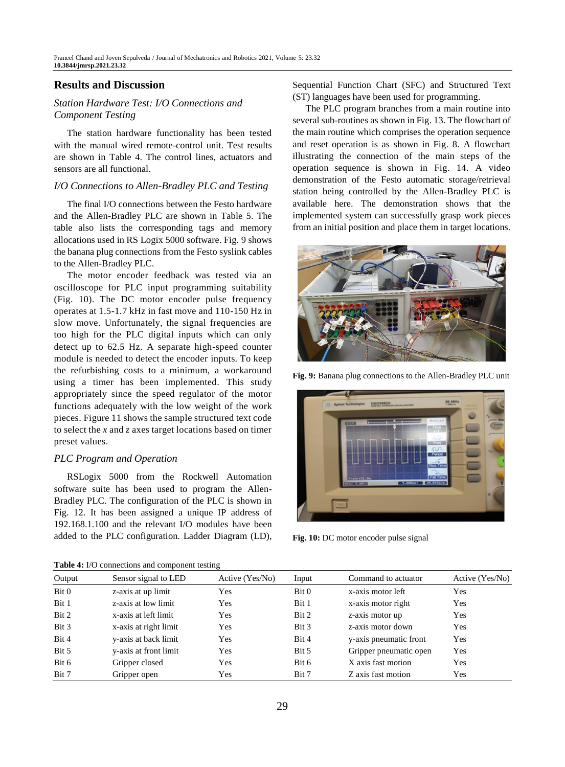## **Results and Discussion**

## *Station Hardware Test: I/O Connections and Component Testing*

The station hardware functionality has been tested with the manual wired remote-control unit. Test results are shown in Table 4. The control lines, actuators and sensors are all functional.

#### *I/O Connections to Allen-Bradley PLC and Testing*

The final I/O connections between the Festo hardware and the Allen-Bradley PLC are shown in Table 5. The table also lists the corresponding tags and memory allocations used in RS Logix 5000 software. Fig. 9 shows the banana plug connections from the Festo syslink cables to the Allen-Bradley PLC.

The motor encoder feedback was tested via an oscilloscope for PLC input programming suitability (Fig. 10). The DC motor encoder pulse frequency operates at 1.5-1.7 kHz in fast move and 110-150 Hz in slow move. Unfortunately, the signal frequencies are too high for the PLC digital inputs which can only detect up to 62.5 Hz. A separate high-speed counter module is needed to detect the encoder inputs. To keep the refurbishing costs to a minimum, a workaround using a timer has been implemented. This study appropriately since the speed regulator of the motor functions adequately with the low weight of the work pieces. Figure 11 shows the sample structured text code to select the *x* and *z* axes target locations based on timer preset values.

#### *PLC Program and Operation*

RSLogix 5000 from the Rockwell Automation software suite has been used to program the Allen-Bradley PLC. The configuration of the PLC is shown in Fig. 12. It has been assigned a unique IP address of 192.168.1.100 and the relevant I/O modules have been added to the PLC configuration. Ladder Diagram (LD),

**Table 4:** I/O connections and component testing

Sequential Function Chart (SFC) and Structured Text (ST) languages have been used for programming.

The PLC program branches from a main routine into several sub-routines as shown in Fig. 13. The flowchart of the main routine which comprises the operation sequence and reset operation is as shown in Fig. 8. A flowchart illustrating the connection of the main steps of the operation sequence is shown in Fig. 14. A video demonstration of the Festo automatic storage/retrieval station being controlled by the Allen-Bradley PLC is available [here.](https://drive.google.com/file/d/1KTlwQHv2XQXQtvlUwLGHDJSvEHPmoLYu/view?usp=sharing) The demonstration shows that the implemented system can successfully grasp work pieces from an initial position and place them in target locations.



**Fig. 9:** Banana plug connections to the Allen-Bradley PLC unit



**Fig. 10:** DC motor encoder pulse signal

| <b>Table 4:</b> I/O connections and component testing |                       |                 |       |                        |                 |  |  |
|-------------------------------------------------------|-----------------------|-----------------|-------|------------------------|-----------------|--|--|
| Output                                                | Sensor signal to LED  | Active (Yes/No) | Input | Command to actuator    | Active (Yes/No) |  |  |
| Bit 0                                                 | z-axis at up limit    | Yes             | Bit 0 | x-axis motor left      | Yes             |  |  |
| Bit 1                                                 | z-axis at low limit   | Yes             | Bit 1 | x-axis motor right     | Yes             |  |  |
| Bit 2                                                 | x-axis at left limit  | Yes             | Bit 2 | z-axis motor up        | Yes             |  |  |
| Bit 3                                                 | x-axis at right limit | Yes             | Bit 3 | z-axis motor down      | Yes             |  |  |
| Bit 4                                                 | y-axis at back limit  | Yes             | Bit 4 | y-axis pneumatic front | Yes             |  |  |
| Bit 5                                                 | y-axis at front limit | Yes             | Bit 5 | Gripper pneumatic open | Yes             |  |  |
| Bit 6                                                 | Gripper closed        | Yes             | Bit 6 | X axis fast motion     | Yes             |  |  |
| Bit 7                                                 | Gripper open          | Yes             | Bit 7 | Z axis fast motion     | Yes             |  |  |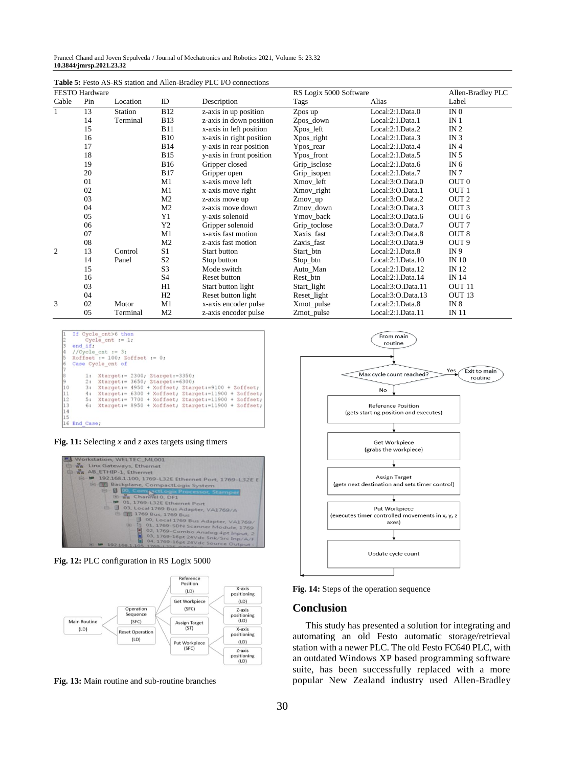Praneel Chand and Joven Sepulveda / Journal of Mechatronics and Robotics 2021, Volume 5: 23.32 **10.3844/jmrsp.2021.23.32**

| FESTO Hardware |     |          |                |                          | RS Logix 5000 Software | Allen-Bradley PLC |                   |
|----------------|-----|----------|----------------|--------------------------|------------------------|-------------------|-------------------|
| Cable          | Pin | Location | ID             | Description              | Tags                   | Alias             | Label             |
| 1              | 13  | Station  | <b>B12</b>     | z-axis in up position    | Zpos up                | Local:2:I.Data.0  | IN <sub>0</sub>   |
|                | 14  | Terminal | <b>B13</b>     | z-axis in down position  | Zpos_down              | Local:2:I.Data.1  | IN <sub>1</sub>   |
|                | 15  |          | <b>B11</b>     | x-axis in left position  | Xpos_left              | Local:2:I.Data.2  | IN <sub>2</sub>   |
|                | 16  |          | <b>B10</b>     | x-axis in right position | Xpos_right             | Local:2:I.Data.3  | IN $3$            |
|                | 17  |          | <b>B14</b>     | y-axis in rear position  | Ypos_rear              | Local:2:I.Data.4  | IN <sub>4</sub>   |
|                | 18  |          | <b>B15</b>     | y-axis in front position | Ypos_front             | Local:2:I.Data.5  | IN $5$            |
|                | 19  |          | <b>B16</b>     | Gripper closed           | Grip_isclose           | Local:2:I.Data.6  | IN $6$            |
|                | 20  |          | <b>B17</b>     | Gripper open             | Grip_isopen            | Local:2:I.Data.7  | IN 7              |
|                | 01  |          | M1             | x-axis move left         | Xmov_left              | Local:3:O.Data.0  | OUT <sub>0</sub>  |
|                | 02  |          | M1             | x-axis move right        | Xmov_right             | Local:3:O.Data.1  | OUT <sub>1</sub>  |
|                | 03  |          | M <sub>2</sub> | z-axis move up           | $Zmov$ _up             | Local:3:O.Data.2  | OUT <sub>2</sub>  |
|                | 04  |          | M <sub>2</sub> | z-axis move down         | Zmov down              | Local:3:O.Data.3  | OUT <sub>3</sub>  |
|                | 05  |          | Y1             | v-axis solenoid          | Ymov back              | Local:3:O.Data.6  | OUT <sub>6</sub>  |
|                | 06  |          | Y <sub>2</sub> | Gripper solenoid         | Grip_toclose           | Local:3:O.Data.7  | OUT <sub>7</sub>  |
|                | 07  |          | M1             | x-axis fast motion       | Xaxis_fast             | Local:3:O.Data.8  | OUT <sub>8</sub>  |
|                | 08  |          | M <sub>2</sub> | z-axis fast motion       | Zaxis_fast             | Local:3:O.Data.9  | OUT <sub>9</sub>  |
| 2              | 13  | Control  | S <sub>1</sub> | Start button             | Start btn              | Local:2:I.Data.8  | IN <sub>9</sub>   |
|                | 14  | Panel    | S <sub>2</sub> | Stop button              | Stop_btn               | Local:2:I.Data.10 | <b>IN 10</b>      |
|                | 15  |          | S <sub>3</sub> | Mode switch              | Auto_Man               | Local:2:I.Data.12 | IN 12             |
|                | 16  |          | S <sub>4</sub> | Reset button             | Rest_btn               | Local:2:I.Data.14 | IN 14             |
|                | 03  |          | H1             | Start button light       | Start_light            | Local:3:O.Data.11 | OUT <sub>11</sub> |
|                | 04  |          | H2             | Reset button light       | Reset_light            | Local:3:O.Data.13 | OUT <sub>13</sub> |
| 3              | 02  | Motor    | M1             | x-axis encoder pulse     | Xmot_pulse             | Local:2:I.Data.8  | IN $8$            |
|                | 05  | Terminal | M <sub>2</sub> | z-axis encoder pulse     | Zmot_pulse             | Local:2:I.Data.11 | IN 11             |

**Table 5:** Festo AS-RS station and Allen-Bradley PLC I/O connections



**Fig. 11:** Selecting *x* and *z* axes targets using timers



**Fig. 12:** PLC configuration in RS Logix 5000



**Fig. 13:** Main routine and sub-routine branches



**Fig. 14:** Steps of the operation sequence

#### **Conclusion**

This study has presented a solution for integrating and automating an old Festo automatic storage/retrieval station with a newer PLC. The old Festo FC640 PLC, with an outdated Windows XP based programming software suite, has been successfully replaced with a more popular New Zealand industry used Allen-Bradley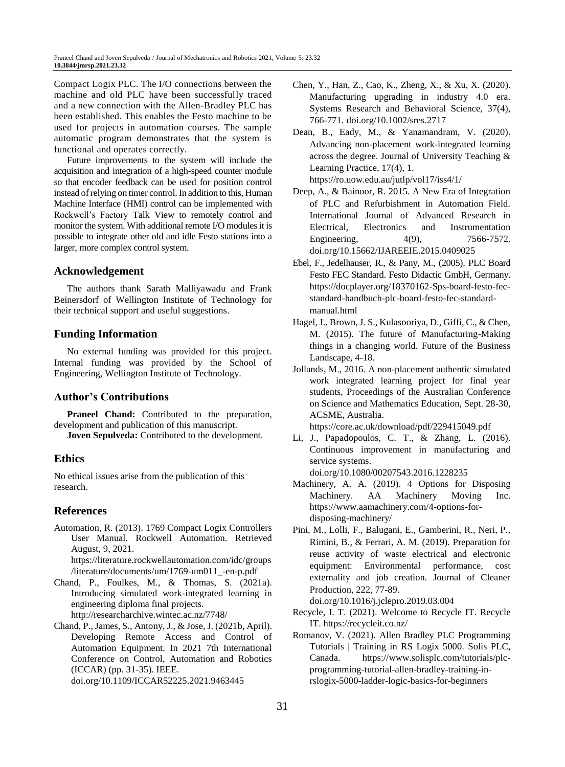Compact Logix PLC. The I/O connections between the machine and old PLC have been successfully traced and a new connection with the Allen-Bradley PLC has been established. This enables the Festo machine to be used for projects in automation courses. The sample automatic program demonstrates that the system is functional and operates correctly.

Future improvements to the system will include the acquisition and integration of a high-speed counter module so that encoder feedback can be used for position control instead of relying on timer control. In addition to this, Human Machine Interface (HMI) control can be implemented with Rockwell's Factory Talk View to remotely control and monitor the system. With additional remote I/O modules it is possible to integrate other old and idle Festo stations into a larger, more complex control system.

## **Acknowledgement**

The authors thank Sarath Malliyawadu and Frank Beinersdorf of Wellington Institute of Technology for their technical support and useful suggestions.

## **Funding Information**

No external funding was provided for this project. Internal funding was provided by the School of Engineering, Wellington Institute of Technology.

# **Author's Contributions**

**Praneel Chand:** Contributed to the preparation, development and publication of this manuscript. **Joven Sepulveda:** Contributed to the development.

# **Ethics**

No ethical issues arise from the publication of this research.

# **References**

Automation, R. (2013). 1769 Compact Logix Controllers User Manual. Rockwell Automation. Retrieved August, 9, 2021. [https://literature.rockwellautomation.com/idc/groups](https://literature.rockwellautomation.com/idc/groups/literature/documents/um/1769-um011_-en-p.pdf)

[/literature/documents/um/1769-um011\\_-en-p.pdf](https://literature.rockwellautomation.com/idc/groups/literature/documents/um/1769-um011_-en-p.pdf)

- Chand, P., Foulkes, M., & Thomas, S. (2021a). Introducing simulated work-integrated learning in engineering diploma final projects. <http://researcharchive.wintec.ac.nz/7748/>
- Chand, P., James, S., Antony, J., & Jose, J. (2021b, April). Developing Remote Access and Control of Automation Equipment. In 2021 7th International Conference on Control, Automation and Robotics (ICCAR) (pp. 31-35). IEEE. doi.org/10.1109/ICCAR52225.2021.9463445
- Chen, Y., Han, Z., Cao, K., Zheng, X., & Xu, X. (2020). Manufacturing upgrading in industry 4.0 era. Systems Research and Behavioral Science, 37(4), 766-771. doi.org/10.1002/sres.2717
- Dean, B., Eady, M., & Yanamandram, V. (2020). Advancing non-placement work-integrated learning across the degree. Journal of University Teaching & Learning Practice, 17(4), 1. <https://ro.uow.edu.au/jutlp/vol17/iss4/1/>

Deep, A., & Bainoor, R. 2015. A New Era of Integration of PLC and Refurbishment in Automation Field. International Journal of Advanced Research in Electrical, Electronics and Instrumentation Engineering, 4(9), 7566-7572. doi.org/10.15662/IJAREEIE.2015.0409025

- Ebel, F., Jedelhauser, R., & Pany, M., (2005). PLC Board Festo FEC Standard. Festo Didactic GmbH, Germany. [https://docplayer.org/18370162-Sps-board-festo-fec](https://docplayer.org/18370162-Sps-board-festo-fec-standard-handbuch-plc-board-festo-fec-standard-manual.html)[standard-handbuch-plc-board-festo-fec-standard](https://docplayer.org/18370162-Sps-board-festo-fec-standard-handbuch-plc-board-festo-fec-standard-manual.html)[manual.html](https://docplayer.org/18370162-Sps-board-festo-fec-standard-handbuch-plc-board-festo-fec-standard-manual.html)
- Hagel, J., Brown, J. S., Kulasooriya, D., Giffi, C., & Chen, M. (2015). The future of Manufacturing-Making things in a changing world. Future of the Business Landscape, 4-18.
- Jollands, M., 2016. A non-placement authentic simulated work integrated learning project for final year students, Proceedings of the Australian Conference on Science and Mathematics Education, Sept. 28-30, ACSME, Australia.

<https://core.ac.uk/download/pdf/229415049.pdf>

Li, J., Papadopoulos, C. T., & Zhang, L. (2016). Continuous improvement in manufacturing and service systems. doi.org/10.1080/00207543.2016.1228235

Machinery, A. A. (2019). 4 Options for Disposing Machinery. AA Machinery Moving Inc. [https://www.aamachinery.com/4-options-for](https://www.aamachinery.com/4-options-for-disposing-machinery/)[disposing-machinery/](https://www.aamachinery.com/4-options-for-disposing-machinery/)

Pini, M., Lolli, F., Balugani, E., Gamberini, R., Neri, P., Rimini, B., & Ferrari, A. M. (2019). Preparation for reuse activity of waste electrical and electronic equipment: Environmental performance, cost externality and job creation. Journal of Cleaner Production, 222, 77-89.

doi.org/10.1016/j.jclepro.2019.03.004

- Recycle, I. T. (2021). Welcome to Recycle IT. Recycle IT[. https://recycleit.co.nz/](https://recycleit.co.nz/)
- Romanov, V. (2021). Allen Bradley PLC Programming Tutorials | Training in RS Logix 5000. Solis PLC, Canada. [https://www.solisplc.com/tutorials/plc](https://www.solisplc.com/tutorials/plc-programming-tutorial-allen-bradley-training-in-rslogix-5000-ladder-logic-basics-for-beginners)[programming-tutorial-allen-bradley-training-in](https://www.solisplc.com/tutorials/plc-programming-tutorial-allen-bradley-training-in-rslogix-5000-ladder-logic-basics-for-beginners)[rslogix-5000-ladder-logic-basics-for-beginners](https://www.solisplc.com/tutorials/plc-programming-tutorial-allen-bradley-training-in-rslogix-5000-ladder-logic-basics-for-beginners)